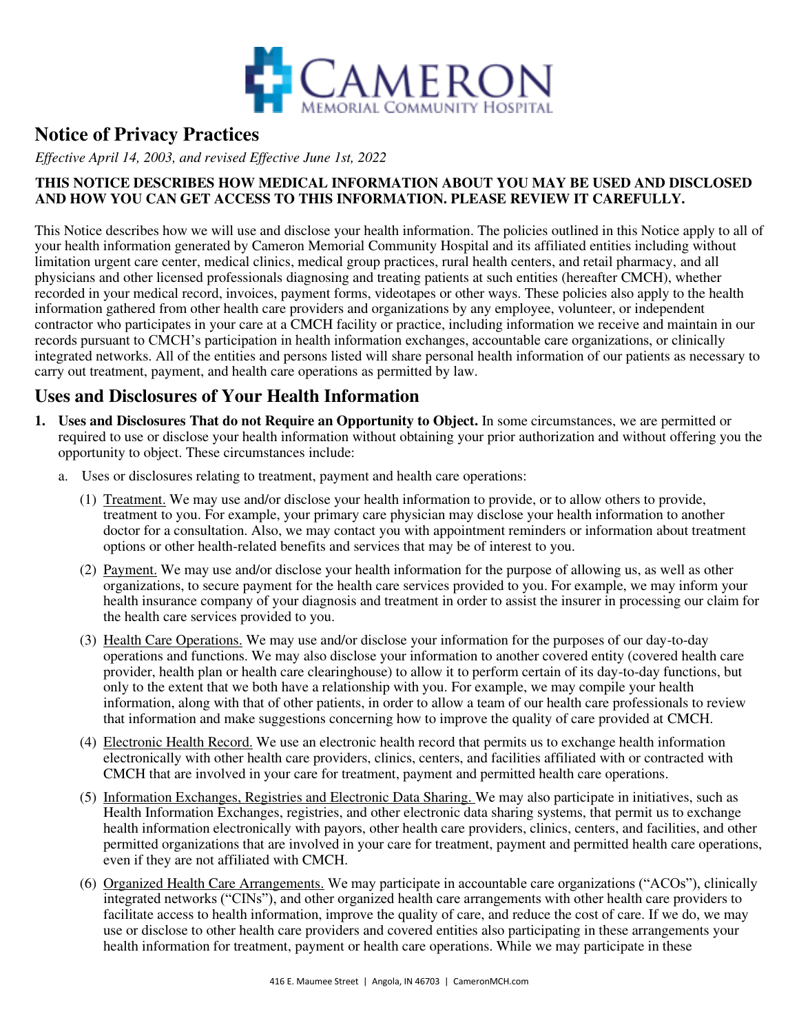

# **Notice of Privacy Practices**

*Effective April 14, 2003, and revised Effective June 1st, 2022*

#### **THIS NOTICE DESCRIBES HOW MEDICAL INFORMATION ABOUT YOU MAY BE USED AND DISCLOSED AND HOW YOU CAN GET ACCESS TO THIS INFORMATION. PLEASE REVIEW IT CAREFULLY.**

This Notice describes how we will use and disclose your health information. The policies outlined in this Notice apply to all of your health information generated by Cameron Memorial Community Hospital and its affiliated entities including without limitation urgent care center, medical clinics, medical group practices, rural health centers, and retail pharmacy, and all physicians and other licensed professionals diagnosing and treating patients at such entities (hereafter CMCH), whether recorded in your medical record, invoices, payment forms, videotapes or other ways. These policies also apply to the health information gathered from other health care providers and organizations by any employee, volunteer, or independent contractor who participates in your care at a CMCH facility or practice, including information we receive and maintain in our records pursuant to CMCH's participation in health information exchanges, accountable care organizations, or clinically integrated networks. All of the entities and persons listed will share personal health information of our patients as necessary to carry out treatment, payment, and health care operations as permitted by law.

# **Uses and Disclosures of Your Health Information**

- **1. Uses and Disclosures That do not Require an Opportunity to Object.** In some circumstances, we are permitted or required to use or disclose your health information without obtaining your prior authorization and without offering you the opportunity to object. These circumstances include:
	- a. Uses or disclosures relating to treatment, payment and health care operations:
		- (1) Treatment. We may use and/or disclose your health information to provide, or to allow others to provide, treatment to you. For example, your primary care physician may disclose your health information to another doctor for a consultation. Also, we may contact you with appointment reminders or information about treatment options or other health-related benefits and services that may be of interest to you.
		- (2) Payment. We may use and/or disclose your health information for the purpose of allowing us, as well as other organizations, to secure payment for the health care services provided to you. For example, we may inform your health insurance company of your diagnosis and treatment in order to assist the insurer in processing our claim for the health care services provided to you.
		- (3) Health Care Operations. We may use and/or disclose your information for the purposes of our day-to-day operations and functions. We may also disclose your information to another covered entity (covered health care provider, health plan or health care clearinghouse) to allow it to perform certain of its day-to-day functions, but only to the extent that we both have a relationship with you. For example, we may compile your health information, along with that of other patients, in order to allow a team of our health care professionals to review that information and make suggestions concerning how to improve the quality of care provided at CMCH.
		- (4) Electronic Health Record. We use an electronic health record that permits us to exchange health information electronically with other health care providers, clinics, centers, and facilities affiliated with or contracted with CMCH that are involved in your care for treatment, payment and permitted health care operations.
		- (5) Information Exchanges, Registries and Electronic Data Sharing. We may also participate in initiatives, such as Health Information Exchanges, registries, and other electronic data sharing systems, that permit us to exchange health information electronically with payors, other health care providers, clinics, centers, and facilities, and other permitted organizations that are involved in your care for treatment, payment and permitted health care operations, even if they are not affiliated with CMCH.
		- (6) Organized Health Care Arrangements. We may participate in accountable care organizations ("ACOs"), clinically integrated networks ("CINs"), and other organized health care arrangements with other health care providers to facilitate access to health information, improve the quality of care, and reduce the cost of care. If we do, we may use or disclose to other health care providers and covered entities also participating in these arrangements your health information for treatment, payment or health care operations. While we may participate in these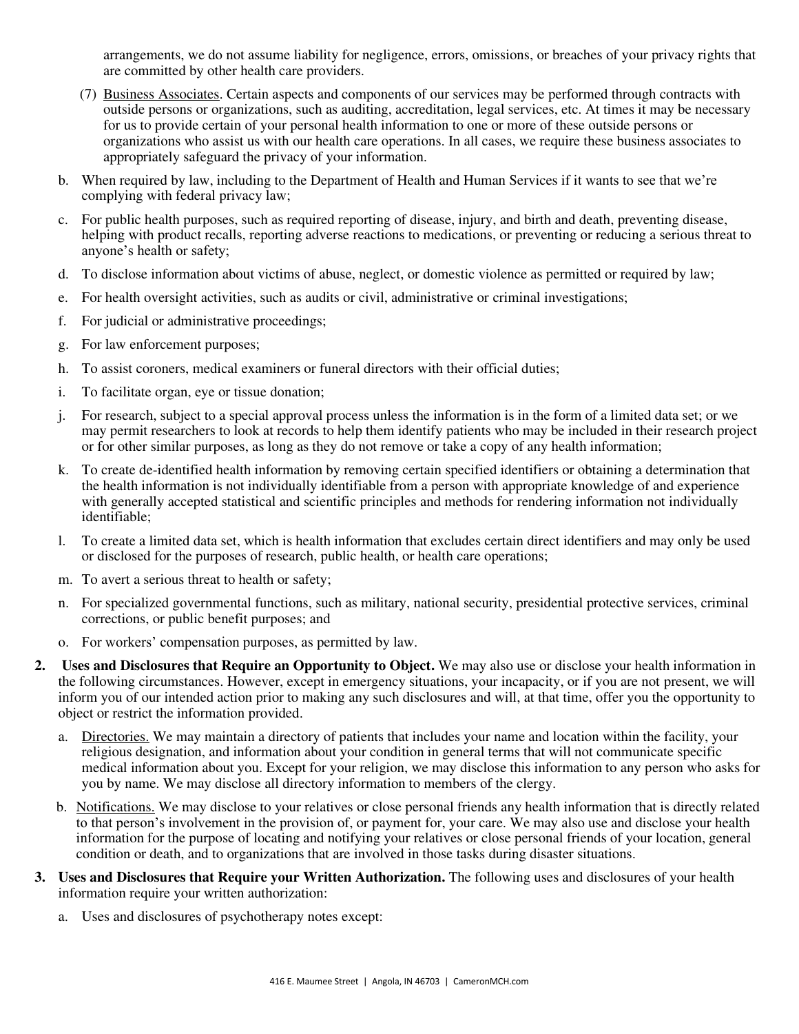arrangements, we do not assume liability for negligence, errors, omissions, or breaches of your privacy rights that are committed by other health care providers.

- (7) Business Associates. Certain aspects and components of our services may be performed through contracts with outside persons or organizations, such as auditing, accreditation, legal services, etc. At times it may be necessary for us to provide certain of your personal health information to one or more of these outside persons or organizations who assist us with our health care operations. In all cases, we require these business associates to appropriately safeguard the privacy of your information.
- b. When required by law, including to the Department of Health and Human Services if it wants to see that we're complying with federal privacy law;
- c. For public health purposes, such as required reporting of disease, injury, and birth and death, preventing disease, helping with product recalls, reporting adverse reactions to medications, or preventing or reducing a serious threat to anyone's health or safety;
- d. To disclose information about victims of abuse, neglect, or domestic violence as permitted or required by law;
- e. For health oversight activities, such as audits or civil, administrative or criminal investigations;
- f. For judicial or administrative proceedings;
- g. For law enforcement purposes;
- h. To assist coroners, medical examiners or funeral directors with their official duties;
- i. To facilitate organ, eye or tissue donation;
- j. For research, subject to a special approval process unless the information is in the form of a limited data set; or we may permit researchers to look at records to help them identify patients who may be included in their research project or for other similar purposes, as long as they do not remove or take a copy of any health information;
- k. To create de-identified health information by removing certain specified identifiers or obtaining a determination that the health information is not individually identifiable from a person with appropriate knowledge of and experience with generally accepted statistical and scientific principles and methods for rendering information not individually identifiable;
- l. To create a limited data set, which is health information that excludes certain direct identifiers and may only be used or disclosed for the purposes of research, public health, or health care operations;
- m. To avert a serious threat to health or safety;
- n. For specialized governmental functions, such as military, national security, presidential protective services, criminal corrections, or public benefit purposes; and
- o. For workers' compensation purposes, as permitted by law.
- **2. Uses and Disclosures that Require an Opportunity to Object.** We may also use or disclose your health information in the following circumstances. However, except in emergency situations, your incapacity, or if you are not present, we will inform you of our intended action prior to making any such disclosures and will, at that time, offer you the opportunity to object or restrict the information provided.
	- a. Directories. We may maintain a directory of patients that includes your name and location within the facility, your religious designation, and information about your condition in general terms that will not communicate specific medical information about you. Except for your religion, we may disclose this information to any person who asks for you by name. We may disclose all directory information to members of the clergy.
	- b. Notifications. We may disclose to your relatives or close personal friends any health information that is directly related to that person's involvement in the provision of, or payment for, your care. We may also use and disclose your health information for the purpose of locating and notifying your relatives or close personal friends of your location, general condition or death, and to organizations that are involved in those tasks during disaster situations.
- **3. Uses and Disclosures that Require your Written Authorization.** The following uses and disclosures of your health information require your written authorization:
	- a. Uses and disclosures of psychotherapy notes except: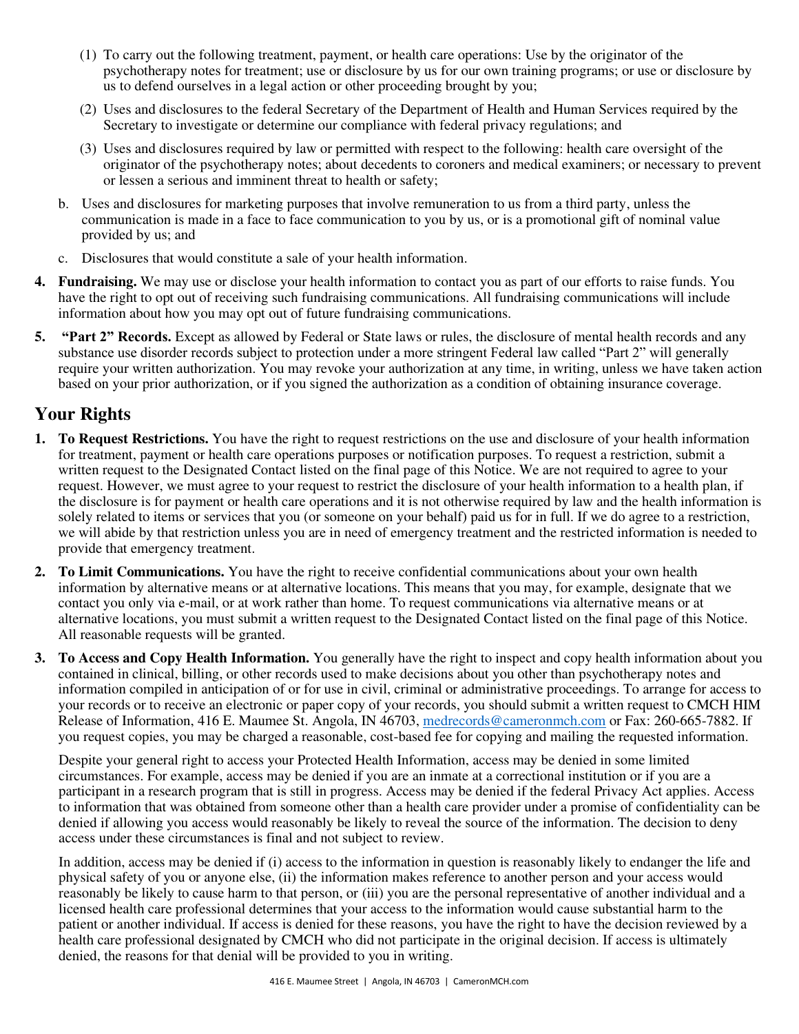- (1) To carry out the following treatment, payment, or health care operations: Use by the originator of the psychotherapy notes for treatment; use or disclosure by us for our own training programs; or use or disclosure by us to defend ourselves in a legal action or other proceeding brought by you;
- (2) Uses and disclosures to the federal Secretary of the Department of Health and Human Services required by the Secretary to investigate or determine our compliance with federal privacy regulations; and
- (3) Uses and disclosures required by law or permitted with respect to the following: health care oversight of the originator of the psychotherapy notes; about decedents to coroners and medical examiners; or necessary to prevent or lessen a serious and imminent threat to health or safety;
- b. Uses and disclosures for marketing purposes that involve remuneration to us from a third party, unless the communication is made in a face to face communication to you by us, or is a promotional gift of nominal value provided by us; and
- c. Disclosures that would constitute a sale of your health information.
- **4. Fundraising.** We may use or disclose your health information to contact you as part of our efforts to raise funds. You have the right to opt out of receiving such fundraising communications. All fundraising communications will include information about how you may opt out of future fundraising communications.
- **5. "Part 2" Records.** Except as allowed by Federal or State laws or rules, the disclosure of mental health records and any substance use disorder records subject to protection under a more stringent Federal law called "Part 2" will generally require your written authorization. You may revoke your authorization at any time, in writing, unless we have taken action based on your prior authorization, or if you signed the authorization as a condition of obtaining insurance coverage.

# **Your Rights**

- **1. To Request Restrictions.** You have the right to request restrictions on the use and disclosure of your health information for treatment, payment or health care operations purposes or notification purposes. To request a restriction, submit a written request to the Designated Contact listed on the final page of this Notice. We are not required to agree to your request. However, we must agree to your request to restrict the disclosure of your health information to a health plan, if the disclosure is for payment or health care operations and it is not otherwise required by law and the health information is solely related to items or services that you (or someone on your behalf) paid us for in full. If we do agree to a restriction, we will abide by that restriction unless you are in need of emergency treatment and the restricted information is needed to provide that emergency treatment.
- **2. To Limit Communications.** You have the right to receive confidential communications about your own health information by alternative means or at alternative locations. This means that you may, for example, designate that we contact you only via e-mail, or at work rather than home. To request communications via alternative means or at alternative locations, you must submit a written request to the Designated Contact listed on the final page of this Notice. All reasonable requests will be granted.
- **3. To Access and Copy Health Information.** You generally have the right to inspect and copy health information about you contained in clinical, billing, or other records used to make decisions about you other than psychotherapy notes and information compiled in anticipation of or for use in civil, criminal or administrative proceedings. To arrange for access to your records or to receive an electronic or paper copy of your records, you should submit a written request to CMCH HIM Release of Information, 416 E. Maumee St. Angola, IN 46703, [medrecords@cameronmch.com](mailto:medrecords@cameronmch.com) or Fax: 260-665-7882. If you request copies, you may be charged a reasonable, cost-based fee for copying and mailing the requested information.

Despite your general right to access your Protected Health Information, access may be denied in some limited circumstances. For example, access may be denied if you are an inmate at a correctional institution or if you are a participant in a research program that is still in progress. Access may be denied if the federal Privacy Act applies. Access to information that was obtained from someone other than a health care provider under a promise of confidentiality can be denied if allowing you access would reasonably be likely to reveal the source of the information. The decision to deny access under these circumstances is final and not subject to review.

In addition, access may be denied if (i) access to the information in question is reasonably likely to endanger the life and physical safety of you or anyone else, (ii) the information makes reference to another person and your access would reasonably be likely to cause harm to that person, or (iii) you are the personal representative of another individual and a licensed health care professional determines that your access to the information would cause substantial harm to the patient or another individual. If access is denied for these reasons, you have the right to have the decision reviewed by a health care professional designated by CMCH who did not participate in the original decision. If access is ultimately denied, the reasons for that denial will be provided to you in writing.